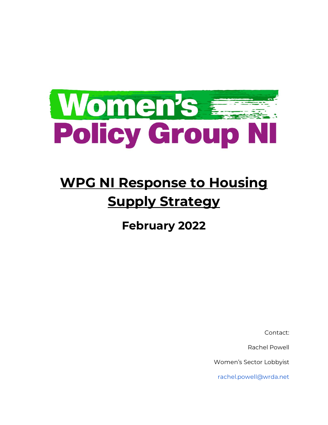

# **WPG NI Response to Housing Supply Strategy**

**February 2022** 

Contact:

Rachel Powell

Women's Sector Lobbyist

rachel.powell@wrda.net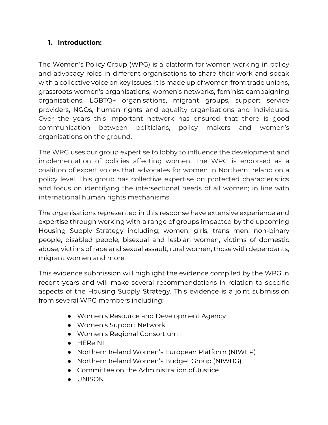## **1. Introduction:**

The Women's Policy Group (WPG) is a platform for women working in policy and advocacy roles in different organisations to share their work and speak with a collective voice on key issues. It is made up of women from trade unions, grassroots women's organisations, women's networks, feminist campaigning organisations, LGBTQ+ organisations, migrant groups, support service providers, NGOs, human rights and equality organisations and individuals. Over the years this important network has ensured that there is good communication between politicians, policy makers and women's organisations on the ground.

The WPG uses our group expertise to lobby to influence the development and implementation of policies affecting women. The WPG is endorsed as a coalition of expert voices that advocates for women in Northern Ireland on a policy level. This group has collective expertise on protected characteristics and focus on identifying the intersectional needs of all women; in line with international human rights mechanisms.

The organisations represented in this response have extensive experience and expertise through working with a range of groups impacted by the upcoming Housing Supply Strategy including; women, girls, trans men, non-binary people, disabled people, bisexual and lesbian women, victims of domestic abuse, victims of rape and sexual assault, rural women, those with dependants, migrant women and more.

This evidence submission will highlight the evidence compiled by the WPG in recent years and will make several recommendations in relation to specific aspects of the Housing Supply Strategy. This evidence is a joint submission from several WPG members including:

- Women's Resource and Development Agency
- Women's Support Network
- Women's Regional Consortium
- HERe NI
- Northern Ireland Women's European Platform (NIWEP)
- Northern Ireland Women's Budget Group (NIWBG)
- Committee on the Administration of Justice
- UNISON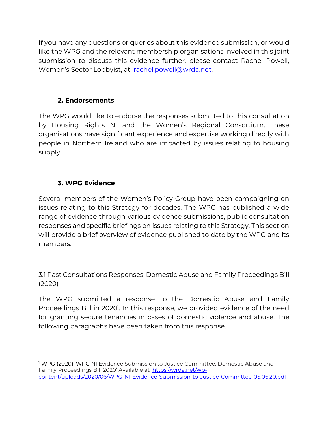If you have any questions or queries about this evidence submission, or would like the WPG and the relevant membership organisations involved in this joint submission to discuss this evidence further, please contact Rachel Powell, Women's Sector Lobbyist, at: [rachel.powell@wrda.net.](mailto:rachel.powell@wrda.net)

# **2. Endorsements**

The WPG would like to endorse the responses submitted to this consultation by Housing Rights NI and the Women's Regional Consortium. These organisations have significant experience and expertise working directly with people in Northern Ireland who are impacted by issues relating to housing supply.

# **3. WPG Evidence**

Several members of the Women's Policy Group have been campaigning on issues relating to this Strategy for decades. The WPG has published a wide range of evidence through various evidence submissions, public consultation responses and specific briefings on issues relating to this Strategy. This section will provide a brief overview of evidence published to date by the WPG and its members.

3.1 Past Consultations Responses: Domestic Abuse and Family Proceedings Bill (2020)

The WPG submitted a response to the Domestic Abuse and Family Proceedings Bill in 2020<sup>1</sup>. In this response, we provided evidence of the need for granting secure tenancies in cases of domestic violence and abuse. The following paragraphs have been taken from this response.

<sup>1</sup> WPG (2020) 'WPG NI Evidence Submission to Justice Committee: Domestic Abuse and Family Proceedings Bill 2020' Available at: [https://wrda.net/wp](https://wrda.net/wp-content/uploads/2020/06/WPG-NI-Evidence-Submission-to-Justice-Committee-05.06.20.pdf)[content/uploads/2020/06/WPG-NI-Evidence-Submission-to-Justice-Committee-05.06.20.pdf](https://wrda.net/wp-content/uploads/2020/06/WPG-NI-Evidence-Submission-to-Justice-Committee-05.06.20.pdf)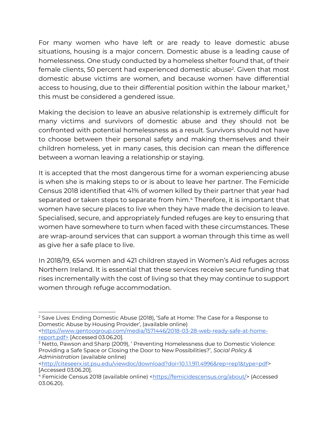For many women who have left or are ready to leave domestic abuse situations, housing is a major concern. Domestic abuse is a leading cause of homelessness. One study conducted by a homeless shelter found that, of their female clients, 50 percent had experienced domestic abuse<sup>2</sup>. Given that most domestic abuse victims are women, and because women have differential access to housing, due to their differential position within the labour market, 3 this must be considered a gendered issue.

Making the decision to leave an abusive relationship is extremely difficult for many victims and survivors of domestic abuse and they should not be confronted with potential homelessness as a result. Survivors should not have to choose between their personal safety and making themselves and their children homeless, yet in many cases, this decision can mean the difference between a woman leaving a relationship or staying.

It is accepted that the most dangerous time for a woman experiencing abuse is when she is making steps to or is about to leave her partner. The Femicide Census 2018 identified that 41% of women killed by their partner that year had separated or taken steps to separate from him. <sup>4</sup> Therefore, it is important that women have secure places to live when they have made the decision to leave. Specialised, secure, and appropriately funded refuges are key to ensuring that women have somewhere to turn when faced with these circumstances. These are wrap-around services that can support a woman through this time as well as give her a safe place to live.

In 2018/19, 654 women and 421 children stayed in Women's Aid refuges across Northern Ireland. It is essential that these services receive secure funding that rises incrementally with the cost of living so that they may continue to support women through refuge accommodation.

[<https://www.gentoogroup.com/media/1571446/2018-03-28-web-ready-safe-at-home](https://www.gentoogroup.com/media/1571446/2018-03-28-web-ready-safe-at-home-report.pdf)[report.pdf>](https://www.gentoogroup.com/media/1571446/2018-03-28-web-ready-safe-at-home-report.pdf) [Accessed 03.06.20].

<sup>&</sup>lt;sup>2</sup> Save Lives: Ending Domestic Abuse (2018), 'Safe at Home: The Case for a Response to Domestic Abuse by Housing Provider', (available online)

<sup>3</sup> Netto, Pawson and Sharp (2009), ' Preventing Homelessness due to Domestic Violence: Providing a Safe Space or Closing the Door to New Possibilities?', *Social Policy & Administration* (available online)

[<sup>&</sup>lt;http://citeseerx.ist.psu.edu/viewdoc/download?doi=10.1.1.911.4996&rep=rep1&type=pdf>](http://citeseerx.ist.psu.edu/viewdoc/download?doi=10.1.1.911.4996&rep=rep1&type=pdf) [Accessed 03.06.20].

<sup>&</sup>lt;sup>4</sup> Femicide Census 2018 (available online) [<https://femicidescensus.org/about/>](https://femicidescensus.org/about/) (Accessed 03.06.20).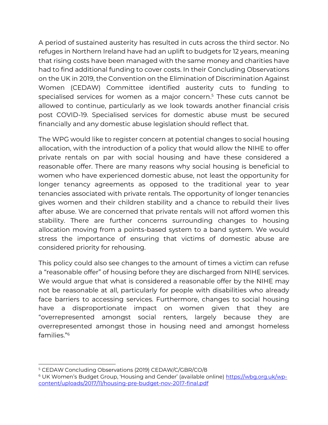A period of sustained austerity has resulted in cuts across the third sector. No refuges in Northern Ireland have had an uplift to budgets for 12 years, meaning that rising costs have been managed with the same money and charities have had to find additional funding to cover costs. In their Concluding Observations on the UK in 2019, the Convention on the Elimination of Discrimination Against Women (CEDAW) Committee identified austerity cuts to funding to specialised services for women as a major concern. <sup>5</sup> These cuts cannot be allowed to continue, particularly as we look towards another financial crisis post COVID-19. Specialised services for domestic abuse must be secured financially and any domestic abuse legislation should reflect that.

The WPG would like to register concern at potential changes to social housing allocation, with the introduction of a policy that would allow the NIHE to offer private rentals on par with social housing and have these considered a reasonable offer. There are many reasons why social housing is beneficial to women who have experienced domestic abuse, not least the opportunity for longer tenancy agreements as opposed to the traditional year to year tenancies associated with private rentals. The opportunity of longer tenancies gives women and their children stability and a chance to rebuild their lives after abuse. We are concerned that private rentals will not afford women this stability. There are further concerns surrounding changes to housing allocation moving from a points-based system to a band system. We would stress the importance of ensuring that victims of domestic abuse are considered priority for rehousing.

This policy could also see changes to the amount of times a victim can refuse a "reasonable offer" of housing before they are discharged from NIHE services. We would argue that what is considered a reasonable offer by the NIHE may not be reasonable at all, particularly for people with disabilities who already face barriers to accessing services. Furthermore, changes to social housing have a disproportionate impact on women given that they are "overrepresented amongst social renters, largely because they are overrepresented amongst those in housing need and amongst homeless families." 6

<sup>5</sup> CEDAW Concluding Observations (2019) CEDAW/C/GBR/CO/8

<sup>&</sup>lt;sup>6</sup> UK Women's Budget Group, 'Housing and Gender' (available online) [https://wbg.org.uk/wp](https://wbg.org.uk/wp-content/uploads/2017/11/housing-pre-budget-nov-2017-final.pdf)[content/uploads/2017/11/housing-pre-budget-nov-2017-final.pdf](https://wbg.org.uk/wp-content/uploads/2017/11/housing-pre-budget-nov-2017-final.pdf)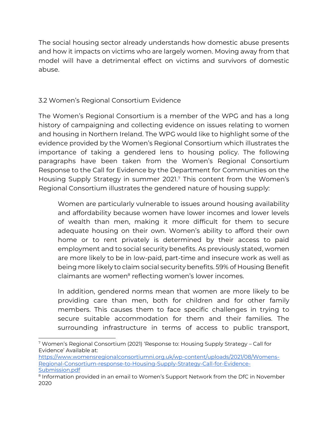The social housing sector already understands how domestic abuse presents and how it impacts on victims who are largely women. Moving away from that model will have a detrimental effect on victims and survivors of domestic abuse.

# 3.2 Women's Regional Consortium Evidence

The Women's Regional Consortium is a member of the WPG and has a long history of campaigning and collecting evidence on issues relating to women and housing in Northern Ireland. The WPG would like to highlight some of the evidence provided by the Women's Regional Consortium which illustrates the importance of taking a gendered lens to housing policy. The following paragraphs have been taken from the Women's Regional Consortium Response to the Call for Evidence by the Department for Communities on the Housing Supply Strategy in summer 2021. <sup>7</sup> This content from the Women's Regional Consortium illustrates the gendered nature of housing supply:

Women are particularly vulnerable to issues around housing availability and affordability because women have lower incomes and lower levels of wealth than men, making it more difficult for them to secure adequate housing on their own. Women's ability to afford their own home or to rent privately is determined by their access to paid employment and to social security benefits. As previously stated, women are more likely to be in low-paid, part-time and insecure work as well as being more likely to claim social security benefits. 59% of Housing Benefit claimants are women<sup>8</sup> reflecting women's lower incomes.

In addition, gendered norms mean that women are more likely to be providing care than men, both for children and for other family members. This causes them to face specific challenges in trying to secure suitable accommodation for them and their families. The surrounding infrastructure in terms of access to public transport,

<sup>7</sup> Women's Regional Consortium (2021) 'Response to: Housing Supply Strategy – Call for Evidence' Available at:

[https://www.womensregionalconsortiumni.org.uk/wp-content/uploads/2021/08/Womens-](https://www.womensregionalconsortiumni.org.uk/wp-content/uploads/2021/08/Womens-Regional-Consortium-response-to-Housing-Supply-Strategy-Call-for-Evidence-Submission.pdf)[Regional-Consortium-response-to-Housing-Supply-Strategy-Call-for-Evidence-](https://www.womensregionalconsortiumni.org.uk/wp-content/uploads/2021/08/Womens-Regional-Consortium-response-to-Housing-Supply-Strategy-Call-for-Evidence-Submission.pdf)[Submission.pdf](https://www.womensregionalconsortiumni.org.uk/wp-content/uploads/2021/08/Womens-Regional-Consortium-response-to-Housing-Supply-Strategy-Call-for-Evidence-Submission.pdf)

<sup>&</sup>lt;sup>8</sup> Information provided in an email to Women's Support Network from the DfC in November 2020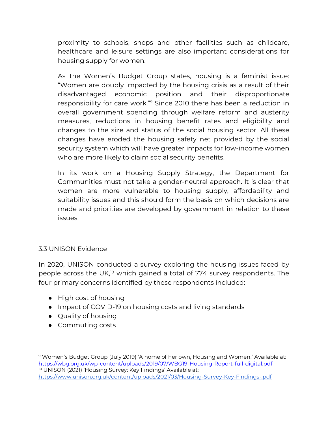proximity to schools, shops and other facilities such as childcare, healthcare and leisure settings are also important considerations for housing supply for women.

As the Women's Budget Group states, housing is a feminist issue: "Women are doubly impacted by the housing crisis as a result of their disadvantaged economic position and their disproportionate responsibility for care work."<sup>9</sup> Since 2010 there has been a reduction in overall government spending through welfare reform and austerity measures, reductions in housing benefit rates and eligibility and changes to the size and status of the social housing sector. All these changes have eroded the housing safety net provided by the social security system which will have greater impacts for low-income women who are more likely to claim social security benefits.

In its work on a Housing Supply Strategy, the Department for Communities must not take a gender-neutral approach. It is clear that women are more vulnerable to housing supply, affordability and suitability issues and this should form the basis on which decisions are made and priorities are developed by government in relation to these issues.

#### 3.3 UNISON Evidence

In 2020, UNISON conducted a survey exploring the housing issues faced by people across the UK,<sup>10</sup> which gained a total of 774 survey respondents. The four primary concerns identified by these respondents included:

- High cost of housing
- Impact of COVID-19 on housing costs and living standards
- Quality of housing
- Commuting costs

<sup>9</sup> Women's Budget Group (July 2019) 'A home of her own, Housing and Women.' Available at: <https://wbg.org.uk/wp-content/uploads/2019/07/WBG19-Housing-Report-full-digital.pdf> <sup>10</sup> UNISON (2021) 'Housing Survey: Key Findings' Available at: <https://www.unison.org.uk/content/uploads/2021/03/Housing-Survey-Key-Findings-.pdf>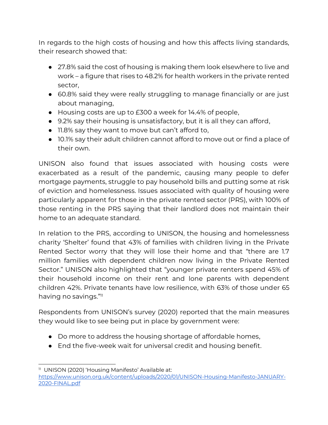In regards to the high costs of housing and how this affects living standards, their research showed that:

- 27.8% said the cost of housing is making them look elsewhere to live and work – a figure that rises to 48.2% for health workers in the private rented sector,
- 60.8% said they were really struggling to manage financially or are just about managing,
- Housing costs are up to £300 a week for 14.4% of people,
- 9.2% say their housing is unsatisfactory, but it is all they can afford,
- 11.8% say they want to move but can't afford to,
- 10.1% say their adult children cannot afford to move out or find a place of their own.

UNISON also found that issues associated with housing costs were exacerbated as a result of the pandemic, causing many people to defer mortgage payments, struggle to pay household bills and putting some at risk of eviction and homelessness. Issues associated with quality of housing were particularly apparent for those in the private rented sector (PRS), with 100% of those renting in the PRS saying that their landlord does not maintain their home to an adequate standard.

In relation to the PRS, according to UNISON, the housing and homelessness charity 'Shelter' found that 43% of families with children living in the Private Rented Sector worry that they will lose their home and that "there are 1.7 million families with dependent children now living in the Private Rented Sector." UNISON also highlighted that "younger private renters spend 45% of their household income on their rent and lone parents with dependent children 42%. Private tenants have low resilience, with 63% of those under 65 having no savings."<sup>11</sup>

Respondents from UNISON's survey (2020) reported that the main measures they would like to see being put in place by government were:

- Do more to address the housing shortage of affordable homes,
- End the five-week wait for universal credit and housing benefit.

<sup>11</sup> UNISON (2020) 'Housing Manifesto' Available at: [https://www.unison.org.uk/content/uploads/2020/01/UNISON-Housing-Manifesto-JANUARY-](https://www.unison.org.uk/content/uploads/2020/01/UNISON-Housing-Manifesto-JANUARY-2020-FINAL.pdf)[2020-FINAL.pdf](https://www.unison.org.uk/content/uploads/2020/01/UNISON-Housing-Manifesto-JANUARY-2020-FINAL.pdf)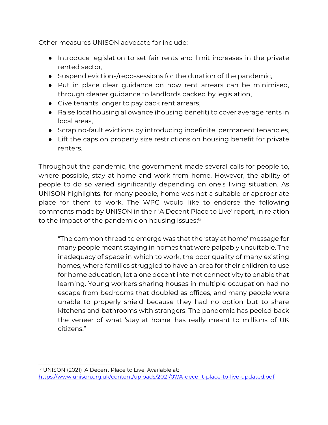Other measures UNISON advocate for include:

- Introduce legislation to set fair rents and limit increases in the private rented sector,
- Suspend evictions/repossessions for the duration of the pandemic,
- Put in place clear guidance on how rent arrears can be minimised, through clearer guidance to landlords backed by legislation,
- Give tenants longer to pay back rent arrears,
- Raise local housing allowance (housing benefit) to cover average rents in local areas,
- Scrap no-fault evictions by introducing indefinite, permanent tenancies,
- Lift the caps on property size restrictions on housing benefit for private renters.

Throughout the pandemic, the government made several calls for people to, where possible, stay at home and work from home. However, the ability of people to do so varied significantly depending on one's living situation. As UNISON highlights, for many people, home was not a suitable or appropriate place for them to work. The WPG would like to endorse the following comments made by UNISON in their 'A Decent Place to Live' report, in relation to the impact of the pandemic on housing issues:12  $\,$ 

"The common thread to emerge was that the 'stay at home' message for many people meant staying in homes that were palpably unsuitable. The inadequacy of space in which to work, the poor quality of many existing homes, where families struggled to have an area for their children to use for home education, let alone decent internet connectivity to enable that learning. Young workers sharing houses in multiple occupation had no escape from bedrooms that doubled as offices, and many people were unable to properly shield because they had no option but to share kitchens and bathrooms with strangers. The pandemic has peeled back the veneer of what 'stay at home' has really meant to millions of UK citizens."

<sup>&</sup>lt;sup>12</sup> UNISON (2021) 'A Decent Place to Live' Available at: <https://www.unison.org.uk/content/uploads/2021/07/A-decent-place-to-live-updated.pdf>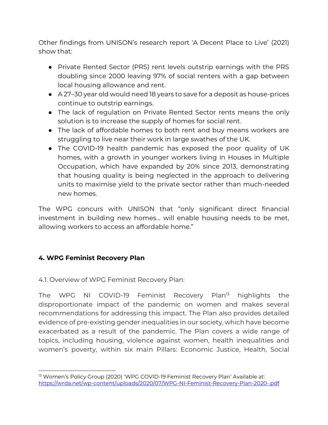Other findings from UNISON's research report 'A Decent Place to Live' (2021) show that:

- Private Rented Sector (PRS) rent levels outstrip earnings with the PRS doubling since 2000 leaving 97% of social renters with a gap between local housing allowance and rent.
- A 27–30 year old would need 18 years to save for a deposit as house-prices continue to outstrip earnings.
- The lack of regulation on Private Rented Sector rents means the only solution is to increase the supply of homes for social rent.
- The lack of affordable homes to both rent and buy means workers are struggling to live near their work in large swathes of the UK.
- The COVID-19 health pandemic has exposed the poor quality of UK homes, with a growth in younger workers living in Houses in Multiple Occupation, which have expanded by 20% since 2013, demonstrating that housing quality is being neglected in the approach to delivering units to maximise yield to the private sector rather than much-needed new homes.

The WPG concurs with UNISON that "only significant direct financial investment in building new homes… will enable housing needs to be met, allowing workers to access an affordable home."

## **4. WPG Feminist Recovery Plan**

#### 4.1. Overview of WPG Feminist Recovery Plan:

The WPG NI COVID-19 Feminist Recovery Plan<sup>13</sup> highlights the disproportionate impact of the pandemic on women and makes several recommendations for addressing this impact. The Plan also provides detailed evidence of pre-existing gender inequalities in our society, which have become exacerbated as a result of the pandemic. The Plan covers a wide range of topics, including housing, violence against women, health inequalities and women's poverty, within six main Pillars: Economic Justice, Health, Social

<sup>&</sup>lt;sup>13</sup> Women's Policy Group (2020) 'WPG COVID-19 Feminist Recovery Plan' Available at: <https://wrda.net/wp-content/uploads/2020/07/WPG-NI-Feminist-Recovery-Plan-2020-.pdf>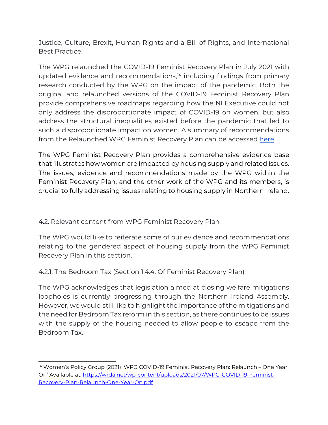Justice, Culture, Brexit, Human Rights and a Bill of Rights, and International Best Practice.

The WPG relaunched the COVID-19 Feminist Recovery Plan in July 2021 with updated evidence and recommendations,<sup>14</sup> including findings from primary research conducted by the WPG on the impact of the pandemic. Both the original and relaunched versions of the COVID-19 Feminist Recovery Plan provide comprehensive roadmaps regarding how the NI Executive could not only address the disproportionate impact of COVID-19 on women, but also address the structural inequalities existed before the pandemic that led to such a disproportionate impact on women. A summary of recommendations from the Relaunched WPG Feminist Recovery Plan can be accesse[d](https://wrda.net/wp-content/uploads/2021/10/WPG-Feminist-Recovery-Plan-2021-Summary-of-Recommendations.pdf) [here.](https://wrda.net/wp-content/uploads/2021/10/WPG-Feminist-Recovery-Plan-2021-Summary-of-Recommendations.pdf)

The WPG Feminist Recovery Plan provides a comprehensive evidence base that illustrates how women are impacted by housing supply and related issues. The issues, evidence and recommendations made by the WPG within the Feminist Recovery Plan, and the other work of the WPG and its members, is crucial to fully addressing issues relating to housing supply in Northern Ireland.

#### 4.2. Relevant content from WPG Feminist Recovery Plan

The WPG would like to reiterate some of our evidence and recommendations relating to the gendered aspect of housing supply from the WPG Feminist Recovery Plan in this section.

4.2.1. The Bedroom Tax (Section 1.4.4. Of Feminist Recovery Plan)

The WPG acknowledges that legislation aimed at closing welfare mitigations loopholes is currently progressing through the Northern Ireland Assembly. However, we would still like to highlight the importance of the mitigations and the need for Bedroom Tax reform in this section, as there continues to be issues with the supply of the housing needed to allow people to escape from the Bedroom Tax.

<sup>&</sup>lt;sup>14</sup> Women's Policy Group (2021) 'WPG COVID-19 Feminist Recovery Plan: Relaunch – One Year On' Available at: [https://wrda.net/wp-content/uploads/2021/07/WPG-COVID-19-Feminist-](https://wrda.net/wp-content/uploads/2021/07/WPG-COVID-19-Feminist-Recovery-Plan-Relaunch-One-Year-On.pdf)[Recovery-Plan-Relaunch-One-Year-On.pdf](https://wrda.net/wp-content/uploads/2021/07/WPG-COVID-19-Feminist-Recovery-Plan-Relaunch-One-Year-On.pdf)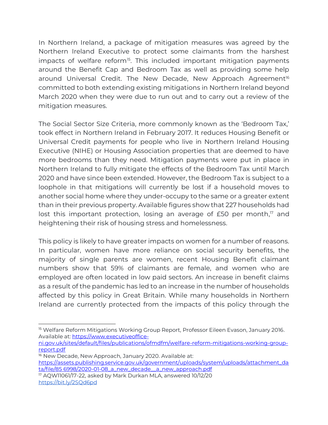In Northern Ireland, a package of mitigation measures was agreed by the Northern Ireland Executive to protect some claimants from the harshest impacts of welfare reform<sup>15</sup>. This included important mitigation payments around the Benefit Cap and Bedroom Tax as well as providing some help around Universal Credit. The New Decade, New Approach Agreement<sup>16</sup> committed to both extending existing mitigations in Northern Ireland beyond March 2020 when they were due to run out and to carry out a review of the mitigation measures.

The Social Sector Size Criteria, more commonly known as the 'Bedroom Tax,' took effect in Northern Ireland in February 2017. It reduces Housing Benefit or Universal Credit payments for people who live in Northern Ireland Housing Executive (NIHE) or Housing Association properties that are deemed to have more bedrooms than they need. Mitigation payments were put in place in Northern Ireland to fully mitigate the effects of the Bedroom Tax until March 2020 and have since been extended. However, the Bedroom Tax is subject to a loophole in that mitigations will currently be lost if a household moves to another social home where they under-occupy to the same or a greater extent than in their previous property. Available figures show that 227 households had lost this important protection, losing an average of £50 per month,<sup>17</sup> and heightening their risk of housing stress and homelessness.

This policy is likely to have greater impacts on women for a number of reasons. In particular, women have more reliance on social security benefits, the majority of single parents are women, recent Housing Benefit claimant numbers show that 59% of claimants are female, and women who are employed are often located in low paid sectors. An increase in benefit claims as a result of the pandemic has led to an increase in the number of households affected by this policy in Great Britain. While many households in Northern Ireland are currently protected from the impacts of this policy through the

<sup>&</sup>lt;sup>15</sup> Welfare Reform Mitigations Working Group Report, Professor Eileen Evason, January 2016. Available at[: https://www.executiveoffice-](https://www.executiveoffice-ni.gov.uk/sites/default/files/publications/ofmdfm/welfare-reform-mitigations-working-group-report.pdf)

[ni.gov.uk/sites/default/files/publications/ofmdfm/welfare-reform-mitigations-working-group](https://www.executiveoffice-ni.gov.uk/sites/default/files/publications/ofmdfm/welfare-reform-mitigations-working-group-report.pdf)[report.pdf](https://www.executiveoffice-ni.gov.uk/sites/default/files/publications/ofmdfm/welfare-reform-mitigations-working-group-report.pdf)

<sup>&</sup>lt;sup>16</sup> New Decade, New Approach, January 2020. Available at: [https://assets.publishing.service.gov.uk/government/uploads/system/uploads/attachment\\_da](https://assets.publishing.service.gov.uk/government/uploads/system/uploads/attachment_data/file/85%206998/2020-01-08_a_new_decade__a_new_approach.pdf) [ta/file/85 6998/2020-01-08\\_a\\_new\\_decade\\_\\_a\\_new\\_approach.pdf](https://assets.publishing.service.gov.uk/government/uploads/system/uploads/attachment_data/file/85%206998/2020-01-08_a_new_decade__a_new_approach.pdf)

<sup>17</sup> AQW11061/17-22, asked by Mark Durkan MLA, answered 10/12/20 <https://bit.ly/2SQd6pd>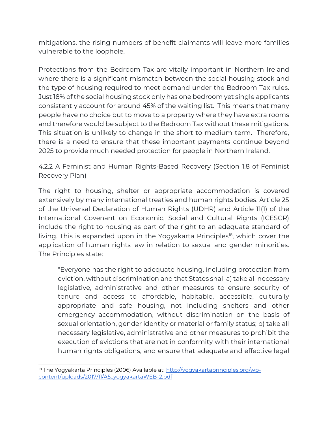mitigations, the rising numbers of benefit claimants will leave more families vulnerable to the loophole.

Protections from the Bedroom Tax are vitally important in Northern Ireland where there is a significant mismatch between the social housing stock and the type of housing required to meet demand under the Bedroom Tax rules. Just 18% of the social housing stock only has one bedroom yet single applicants consistently account for around 45% of the waiting list. This means that many people have no choice but to move to a property where they have extra rooms and therefore would be subject to the Bedroom Tax without these mitigations. This situation is unlikely to change in the short to medium term. Therefore, there is a need to ensure that these important payments continue beyond 2025 to provide much needed protection for people in Northern Ireland.

4.2.2 A Feminist and Human Rights-Based Recovery (Section 1.8 of Feminist Recovery Plan)

The right to housing, shelter or appropriate accommodation is covered extensively by many international treaties and human rights bodies. Article 25 of the Universal Declaration of Human Rights (UDHR) and Article 11(1) of the International Covenant on Economic, Social and Cultural Rights (ICESCR) include the right to housing as part of the right to an adequate standard of living. This is expanded upon in the Yogyakarta Principles<sup>18</sup>, which cover the application of human rights law in relation to sexual and gender minorities. The Principles state:

"Everyone has the right to adequate housing, including protection from eviction, without discrimination and that States shall a) take all necessary legislative, administrative and other measures to ensure security of tenure and access to affordable, habitable, accessible, culturally appropriate and safe housing, not including shelters and other emergency accommodation, without discrimination on the basis of sexual orientation, gender identity or material or family status; b) take all necessary legislative, administrative and other measures to prohibit the execution of evictions that are not in conformity with their international human rights obligations, and ensure that adequate and effective legal

<sup>&</sup>lt;sup>18</sup> The Yogyakarta Principles (2006) Available at: http://vogyakartaprinciples.org/wp[content/uploads/2017/11/A5\\_yogyakartaWEB-2.pdf](http://yogyakartaprinciples.org/wp-content/uploads/2017/11/A5_yogyakartaWEB-2.pdf)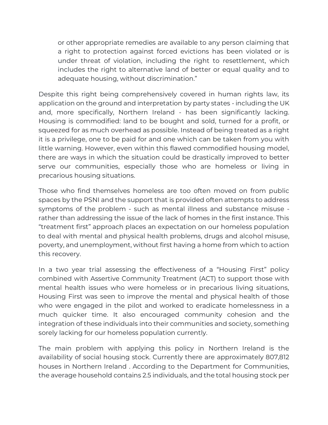or other appropriate remedies are available to any person claiming that a right to protection against forced evictions has been violated or is under threat of violation, including the right to resettlement, which includes the right to alternative land of better or equal quality and to adequate housing, without discrimination."

Despite this right being comprehensively covered in human rights law, its application on the ground and interpretation by party states - including the UK and, more specifically, Northern Ireland - has been significantly lacking. Housing is commodified: land to be bought and sold, turned for a profit, or squeezed for as much overhead as possible. Instead of being treated as a right it is a privilege, one to be paid for and one which can be taken from you with little warning. However, even within this flawed commodified housing model, there are ways in which the situation could be drastically improved to better serve our communities, especially those who are homeless or living in precarious housing situations.

Those who find themselves homeless are too often moved on from public spaces by the PSNI and the support that is provided often attempts to address symptoms of the problem - such as mental illness and substance misuse rather than addressing the issue of the lack of homes in the first instance. This "treatment first" approach places an expectation on our homeless population to deal with mental and physical health problems, drugs and alcohol misuse, poverty, and unemployment, without first having a home from which to action this recovery.

In a two year trial assessing the effectiveness of a "Housing First" policy combined with Assertive Community Treatment (ACT) to support those with mental health issues who were homeless or in precarious living situations, Housing First was seen to improve the mental and physical health of those who were engaged in the pilot and worked to eradicate homelessness in a much quicker time. It also encouraged community cohesion and the integration of these individuals into their communities and society, something sorely lacking for our homeless population currently.

The main problem with applying this policy in Northern Ireland is the availability of social housing stock. Currently there are approximately 807,812 houses in Northern Ireland . According to the Department for Communities, the average household contains 2.5 individuals, and the total housing stock per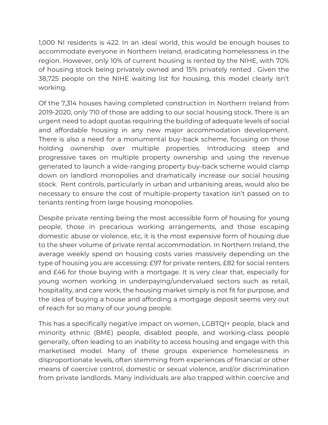1,000 NI residents is 422. In an ideal world, this would be enough houses to accommodate everyone in Northern Ireland, eradicating homelessness in the region. However, only 10% of current housing is rented by the NIHE, with 70% of housing stock being privately owned and 15% privately rented . Given the 38,725 people on the NIHE waiting list for housing, this model clearly isn't working.

Of the 7,314 houses having completed construction in Northern Ireland from 2019-2020, only 710 of those are adding to our social housing stock. There is an urgent need to adopt quotas requiring the building of adequate levels of social and affordable housing in any new major accommodation development. There is also a need for a monumental buy-back scheme, focusing on those holding ownership over multiple properties. Introducing steep and progressive taxes on multiple property ownership and using the revenue generated to launch a wide-ranging property buy-back scheme would clamp down on landlord monopolies and dramatically increase our social housing stock. Rent controls, particularly in urban and urbanising areas, would also be necessary to ensure the cost of multiple-property taxation isn't passed on to tenants renting from large housing monopolies.

Despite private renting being the most accessible form of housing for young people, those in precarious working arrangements, and those escaping domestic abuse or violence, etc, it is the most expensive form of housing due to the sheer volume of private rental accommodation. In Northern Ireland, the average weekly spend on housing costs varies massively depending on the type of housing you are accessing: £97 for private renters, £82 for social renters and £46 for those buying with a mortgage. It is very clear that, especially for young women working in underpaying/undervalued sectors such as retail, hospitality, and care work, the housing market simply is not fit for purpose, and the idea of buying a house and affording a mortgage deposit seems very out of reach for so many of our young people.

This has a specifically negative impact on women, LGBTQI+ people, black and minority ethnic (BME) people, disabled people, and working-class people generally, often leading to an inability to access housing and engage with this marketised model. Many of these groups experience homelessness in disproportionate levels, often stemming from experiences of financial or other means of coercive control, domestic or sexual violence, and/or discrimination from private landlords. Many individuals are also trapped within coercive and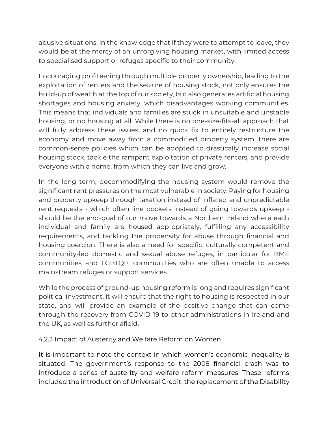abusive situations, in the knowledge that if they were to attempt to leave, they would be at the mercy of an unforgiving housing market, with limited access to specialised support or refuges specific to their community.

Encouraging profiteering through multiple property ownership, leading to the exploitation of renters and the seizure of housing stock, not only ensures the build-up of wealth at the top of our society, but also generates artificial housing shortages and housing anxiety, which disadvantages working communities. This means that individuals and families are stuck in unsuitable and unstable housing, or no housing at all. While there is no one-size-fits-all approach that will fully address these issues, and no quick fix to entirely restructure the economy and move away from a commodified property system, there are common-sense policies which can be adopted to drastically increase social housing stock, tackle the rampant exploitation of private renters, and provide everyone with a home, from which they can live and grow.

In the long term, decommodifying the housing system would remove the significant rent pressures on the most vulnerable in society. Paying for housing and property upkeep through taxation instead of inflated and unpredictable rent requests - which often line pockets instead of going towards upkeep should be the end-goal of our move towards a Northern Ireland where each individual and family are housed appropriately, fulfilling any accessibility requirements, and tackling the propensity for abuse through financial and housing coercion. There is also a need for specific, culturally competent and community-led domestic and sexual abuse refuges, in particular for BME communities and LGBTQI+ communities who are often unable to access mainstream refuges or support services.

While the process of ground-up housing reform is long and requires significant political investment, it will ensure that the right to housing is respected in our state, and will provide an example of the positive change that can come through the recovery from COVID-19 to other administrations in Ireland and the UK, as well as further afield.

#### 4.2.3 Impact of Austerity and Welfare Reform on Women

It is important to note the context in which women's economic inequality is situated. The government's response to the 2008 financial crash was to introduce a series of austerity and welfare reform measures. These reforms included the introduction of Universal Credit, the replacement of the Disability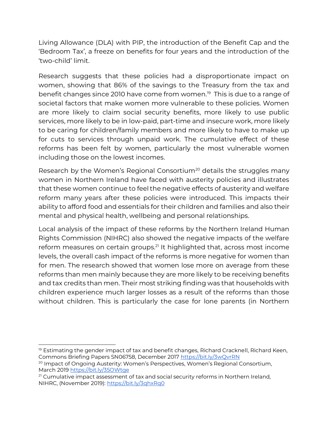Living Allowance (DLA) with PIP, the introduction of the Benefit Cap and the 'Bedroom Tax', a freeze on benefits for four years and the introduction of the 'two-child' limit.

Research suggests that these policies had a disproportionate impact on women, showing that 86% of the savings to the Treasury from the tax and benefit changes since 2010 have come from women.<sup>19</sup> This is due to a range of societal factors that make women more vulnerable to these policies. Women are more likely to claim social security benefits, more likely to use public services, more likely to be in low-paid, part-time and insecure work, more likely to be caring for children/family members and more likely to have to make up for cuts to services through unpaid work. The cumulative effect of these reforms has been felt by women, particularly the most vulnerable women including those on the lowest incomes.

Research by the Women's Regional Consortium<sup>20</sup> details the struggles many women in Northern Ireland have faced with austerity policies and illustrates that these women continue to feel the negative effects of austerity and welfare reform many years after these policies were introduced. This impacts their ability to afford food and essentials for their children and families and also their mental and physical health, wellbeing and personal relationships.

Local analysis of the impact of these reforms by the Northern Ireland Human Rights Commission (NIHRC) also showed the negative impacts of the welfare reform measures on certain groups.<sup>21</sup> It highlighted that, across most income levels, the overall cash impact of the reforms is more negative for women than for men. The research showed that women lose more on average from these reforms than men mainly because they are more likely to be receiving benefits and tax credits than men. Their most striking finding was that households with children experience much larger losses as a result of the reforms than those without children. This is particularly the case for lone parents (in Northern

 $19$  Estimating the gender impact of tax and benefit changes, Richard Cracknell, Richard Keen, Commons Briefing Papers SN06758, December 2017<https://bit.ly/3wQvrRN>

<sup>&</sup>lt;sup>20</sup> Impact of Ongoing Austerity: Women's Perspectives, Women's Regional Consortium, March 2019 https://bit.lv/35OWtae

 $21$  Cumulative impact assessment of tax and social security reforms in Northern Ireland, NIHRC, (November 2019)[: https://bit.ly/3qhxRq0](https://bit.ly/3qhxRq0)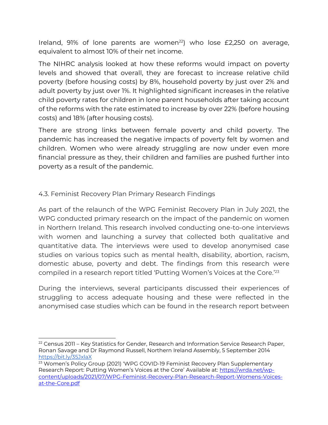Ireland, 91% of lone parents are women<sup>22</sup>) who lose  $E2,250$  on average, equivalent to almost 10% of their net income.

The NIHRC analysis looked at how these reforms would impact on poverty levels and showed that overall, they are forecast to increase relative child poverty (before housing costs) by 8%, household poverty by just over 2% and adult poverty by just over 1%. It highlighted significant increases in the relative child poverty rates for children in lone parent households after taking account of the reforms with the rate estimated to increase by over 22% (before housing costs) and 18% (after housing costs).

There are strong links between female poverty and child poverty. The pandemic has increased the negative impacts of poverty felt by women and children. Women who were already struggling are now under even more financial pressure as they, their children and families are pushed further into poverty as a result of the pandemic.

## 4.3. Feminist Recovery Plan Primary Research Findings

As part of the relaunch of the WPG Feminist Recovery Plan in July 2021, the WPG conducted primary research on the impact of the pandemic on women in Northern Ireland. This research involved conducting one-to-one interviews with women and launching a survey that collected both qualitative and quantitative data. The interviews were used to develop anonymised case studies on various topics such as mental health, disability, abortion, racism, domestic abuse, poverty and debt. The findings from this research were compiled in a research report titled 'Putting Women's Voices at the Core.'<sup>23</sup>

During the interviews, several participants discussed their experiences of struggling to access adequate housing and these were reflected in the anonymised case studies which can be found in the research report between

 $22$  Census 2011 – Key Statistics for Gender, Research and Information Service Research Paper, Ronan Savage and Dr Raymond Russell, Northern Ireland Assembly, 5 September 201[4](http://www.niassembly.gov.uk/globalassets/documents/raise/publications/2015/general/3415.pdf) <https://bit.ly/35JxlaX>

<sup>&</sup>lt;sup>23</sup> Women's Policy Group (2021) 'WPG COVID-19 Feminist Recovery Plan Supplementary Research Report: Putting Women's Voices at the Core' Available at: [https://wrda.net/wp](https://wrda.net/wp-content/uploads/2021/07/WPG-Feminist-Recovery-Plan-Research-Report-Womens-Voices-at-the-Core.pdf)[content/uploads/2021/07/WPG-Feminist-Recovery-Plan-Research-Report-Womens-Voices](https://wrda.net/wp-content/uploads/2021/07/WPG-Feminist-Recovery-Plan-Research-Report-Womens-Voices-at-the-Core.pdf)[at-the-Core.pdf](https://wrda.net/wp-content/uploads/2021/07/WPG-Feminist-Recovery-Plan-Research-Report-Womens-Voices-at-the-Core.pdf)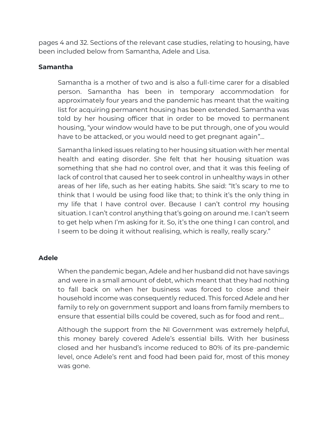pages 4 and 32. Sections of the relevant case studies, relating to housing, have been included below from Samantha, Adele and Lisa.

#### **Samantha**

Samantha is a mother of two and is also a full-time carer for a disabled person. Samantha has been in temporary accommodation for approximately four years and the pandemic has meant that the waiting list for acquiring permanent housing has been extended. Samantha was told by her housing officer that in order to be moved to permanent housing, "your window would have to be put through, one of you would have to be attacked, or you would need to get pregnant again"…

Samantha linked issues relating to her housing situation with her mental health and eating disorder. She felt that her housing situation was something that she had no control over, and that it was this feeling of lack of control that caused her to seek control in unhealthy ways in other areas of her life, such as her eating habits. She said: "It's scary to me to think that I would be using food like that; to think it's the only thing in my life that I have control over. Because I can't control my housing situation. I can't control anything that's going on around me. I can't seem to get help when I'm asking for it. So, it's the one thing I can control, and I seem to be doing it without realising, which is really, really scary."

#### **Adele**

When the pandemic began, Adele and her husband did not have savings and were in a small amount of debt, which meant that they had nothing to fall back on when her business was forced to close and their household income was consequently reduced. This forced Adele and her family to rely on government support and loans from family members to ensure that essential bills could be covered, such as for food and rent…

Although the support from the NI Government was extremely helpful, this money barely covered Adele's essential bills. With her business closed and her husband's income reduced to 80% of its pre-pandemic level, once Adele's rent and food had been paid for, most of this money was gone.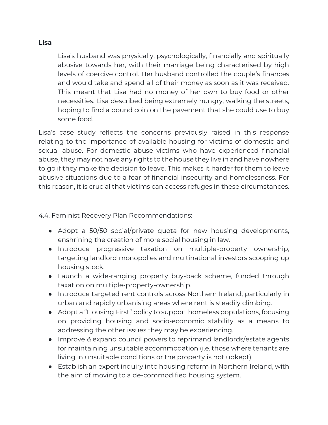#### **Lisa**

Lisa's husband was physically, psychologically, financially and spiritually abusive towards her, with their marriage being characterised by high levels of coercive control. Her husband controlled the couple's finances and would take and spend all of their money as soon as it was received. This meant that Lisa had no money of her own to buy food or other necessities. Lisa described being extremely hungry, walking the streets, hoping to find a pound coin on the pavement that she could use to buy some food.

Lisa's case study reflects the concerns previously raised in this response relating to the importance of available housing for victims of domestic and sexual abuse. For domestic abuse victims who have experienced financial abuse, they may not have any rights to the house they live in and have nowhere to go if they make the decision to leave. This makes it harder for them to leave abusive situations due to a fear of financial insecurity and homelessness. For this reason, it is crucial that victims can access refuges in these circumstances.

4.4. Feminist Recovery Plan Recommendations:

- Adopt a 50/50 social/private quota for new housing developments, enshrining the creation of more social housing in law.
- Introduce progressive taxation on multiple-property ownership, targeting landlord monopolies and multinational investors scooping up housing stock.
- Launch a wide-ranging property buy-back scheme, funded through taxation on multiple-property-ownership.
- Introduce targeted rent controls across Northern Ireland, particularly in urban and rapidly urbanising areas where rent is steadily climbing.
- Adopt a "Housing First" policy to support homeless populations, focusing on providing housing and socio-economic stability as a means to addressing the other issues they may be experiencing.
- Improve & expand council powers to reprimand landlords/estate agents for maintaining unsuitable accommodation (i.e. those where tenants are living in unsuitable conditions or the property is not upkept).
- Establish an expert inquiry into housing reform in Northern Ireland, with the aim of moving to a de-commodified housing system.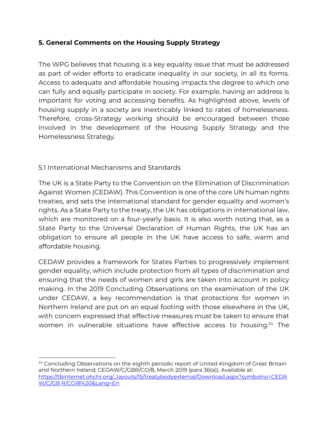## **5. General Comments on the Housing Supply Strategy**

The WPG believes that housing is a key equality issue that must be addressed as part of wider efforts to eradicate inequality in our society, in all its forms. Access to adequate and affordable housing impacts the degree to which one can fully and equally participate in society. For example, having an address is important for voting and accessing benefits. As highlighted above, levels of housing supply in a society are inextricably linked to rates of homelessness. Therefore, cross-Strategy working should be encouraged between those involved in the development of the Housing Supply Strategy and the Homelessness Strategy.

## 5.1 International Mechanisms and Standards

The UK is a State Party to the Convention on the Elimination of Discrimination Against Women (CEDAW). This Convention is one of the core UN human rights treaties, and sets the international standard for gender equality and women's rights. As a State Party to the treaty, the UK has obligations in international law, which are monitored on a four-yearly basis. It is also worth noting that, as a State Party to the Universal Declaration of Human Rights, the UK has an obligation to ensure all people in the UK have access to safe, warm and affordable housing.

CEDAW provides a framework for States Parties to progressively implement gender equality, which include protection from all types of discrimination and ensuring that the needs of women and girls are taken into account in policy making. In the 2019 Concluding Observations on the examination of the UK under CEDAW, a key recommendation is that protections for women in Northern Ireland are put on an equal footing with those elsewhere in the UK, with concern expressed that effective measures must be taken to ensure that women in vulnerable situations have effective access to housing.<sup>24</sup> The

<sup>&</sup>lt;sup>24</sup> Concluding Observations on the eighth periodic report of United Kingdom of Great Britain and Northern Ireland, CEDAW/C/GBR/CO/8, March 2019 (para 36(a)). Available at: [https://tbinternet.ohchr.org/\\_layouts/15/treatybodyexternal/Download.aspx?symbolno=CEDA](https://tbinternet.ohchr.org/_layouts/15/treatybodyexternal/Download.aspx?symbolno=CEDAW/C/GB%20R/CO/8%20&Lang=En) [W/C/GB R/CO/8%20&Lang=En](https://tbinternet.ohchr.org/_layouts/15/treatybodyexternal/Download.aspx?symbolno=CEDAW/C/GB%20R/CO/8%20&Lang=En)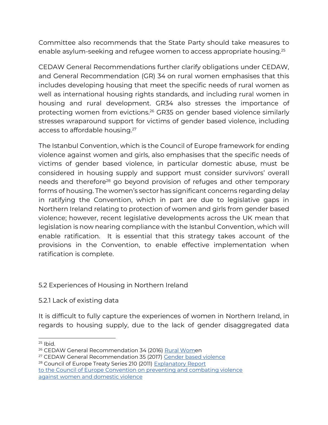Committee also recommends that the State Party should take measures to enable asylum-seeking and refugee women to access appropriate housing.<sup>25</sup>

CEDAW General Recommendations further clarify obligations under CEDAW, and General Recommendation (GR) 34 on rural women emphasises that this includes developing housing that meet the specific needs of rural women as well as international housing rights standards, and including rural women in housing and rural development. GR34 also stresses the importance of protecting women from evictions.<sup>26</sup> GR35 on gender based violence similarly stresses wraparound support for victims of gender based violence, including access to affordable housing.<sup>27</sup>

The Istanbul Convention, which is the Council of Europe framework for ending violence against women and girls, also emphasises that the specific needs of victims of gender based violence, in particular domestic abuse, must be considered in housing supply and support must consider survivors' overall needs and therefore<sup>28</sup> go beyond provision of refuges and other temporary forms of housing. The women's sector has significant concerns regarding delay in ratifying the Convention, which in part are due to legislative gaps in Northern Ireland relating to protection of women and girls from gender based violence; however, recent legislative developments across the UK mean that legislation is now nearing compliance with the Istanbul Convention, which will enable ratification. It is essential that this strategy takes account of the provisions in the Convention, to enable effective implementation when ratification is complete.

#### 5.2 Experiences of Housing in Northern Ireland

#### 5.2.1 Lack of existing data

It is difficult to fully capture the experiences of women in Northern Ireland, in regards to housing supply, due to the lack of gender disaggregated data

 $25$  Ibid.

<sup>&</sup>lt;sup>26</sup> CEDAW General Recommendation 34 (2016) [Rural Wome](https://docstore.ohchr.org/SelfServices/FilesHandler.ashx?enc=6QkG1d%2fPPRiCAqhKb7yhsldCrOlUTvLRFDjh6%2fx1pWB6lCUVZF6giuQZbHO4%2fX%2b4Db%2bKev44QYdiHl9FsT1evybcMuaSbhtRSEgF9LzC%2bftEbBrdWL2QQi2xDxGAzgBP)n

<sup>&</sup>lt;sup>27</sup> CEDAW General Recommendation 35 (2017[\) Gender based violence](https://docstore.ohchr.org/SelfServices/FilesHandler.ashx?enc=6QkG1d%2fPPRiCAqhKb7yhsldCrOlUTvLRFDjh6%2fx1pWAeqJn4T68N1uqnZjLbtFua2OBKh3UEqlB%2fCyQIg86A6bUD6S2nt0Ii%2bndbh67tt1%2bO99yEEGWYpmnzM8vDxmwt)

<sup>&</sup>lt;sup>28</sup> Council of Europe Treaty Series 210 (2011) [Explanatory Report](https://rm.coe.int/1680a48903)

[to the Council of Europe Convention on preventing and combating violence](https://rm.coe.int/1680a48903) [against women and domestic violence](https://rm.coe.int/1680a48903)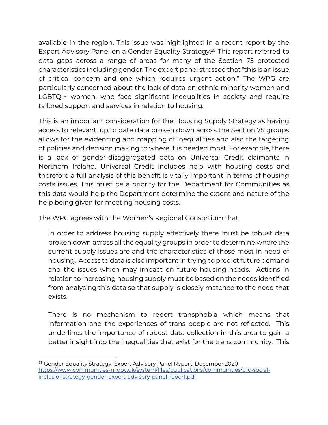available in the region. This issue was highlighted in a recent report by the Expert Advisory Panel on a Gender Equality Strategy.<sup>29</sup> This report referred to data gaps across a range of areas for many of the Section 75 protected characteristics including gender. The expert panel stressed that "this is an issue of critical concern and one which requires urgent action." The WPG are particularly concerned about the lack of data on ethnic minority women and LGBTQI+ women, who face significant inequalities in society and require tailored support and services in relation to housing.

This is an important consideration for the Housing Supply Strategy as having access to relevant, up to date data broken down across the Section 75 groups allows for the evidencing and mapping of inequalities and also the targeting of policies and decision making to where it is needed most. For example, there is a lack of gender-disaggregated data on Universal Credit claimants in Northern Ireland. Universal Credit includes help with housing costs and therefore a full analysis of this benefit is vitally important in terms of housing costs issues. This must be a priority for the Department for Communities as this data would help the Department determine the extent and nature of the help being given for meeting housing costs.

The WPG agrees with the Women's Regional Consortium that:

In order to address housing supply effectively there must be robust data broken down across all the equality groups in order to determine where the current supply issues are and the characteristics of those most in need of housing. Access to data is also important in trying to predict future demand and the issues which may impact on future housing needs. Actions in relation to increasing housing supply must be based on the needs identified from analysing this data so that supply is closely matched to the need that exists.

There is no mechanism to report transphobia which means that information and the experiences of trans people are not reflected. This underlines the importance of robust data collection in this area to gain a better insight into the inequalities that exist for the trans community. This

<sup>&</sup>lt;sup>29</sup> Gender Equality Strategy, Expert Advisory Panel Report, December 2020 [https://www.communities-ni.gov.uk/system/files/publications/communities/dfc-social](https://www.communities-ni.gov.uk/system/files/publications/communities/dfc-social-inclusionstrategy-gender-expert-advisory-panel-report.pdf)[inclusionstrategy-gender-expert-advisory-panel-report.pdf](https://www.communities-ni.gov.uk/system/files/publications/communities/dfc-social-inclusionstrategy-gender-expert-advisory-panel-report.pdf)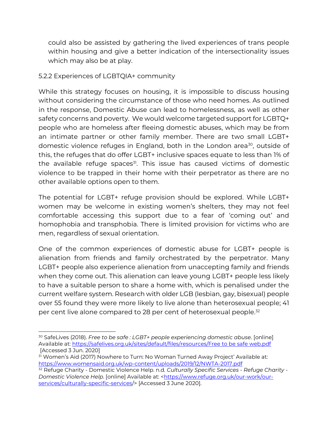could also be assisted by gathering the lived experiences of trans people within housing and give a better indication of the intersectionality issues which may also be at play.

### 5.2.2 Experiences of LGBTQIA+ community

While this strategy focuses on housing, it is impossible to discuss housing without considering the circumstance of those who need homes. As outlined in the response, Domestic Abuse can lead to homelessness, as well as other safety concerns and poverty. We would welcome targeted support for LGBTQ+ people who are homeless after fleeing domestic abuses, which may be from an intimate partner or other family member. There are two small LGBT+ domestic violence refuges in England, both in the London area<sup>30</sup>, outside of this, the refuges that do offer LGBT+ inclusive spaces equate to less than 1% of the available refuge spaces<sup>31</sup>. This issue has caused victims of domestic violence to be trapped in their home with their perpetrator as there are no other available options open to them.

The potential for LGBT+ refuge provision should be explored. While LGBT+ women may be welcome in existing women's shelters, they may not feel comfortable accessing this support due to a fear of 'coming out' and homophobia and transphobia. There is limited provision for victims who are men, regardless of sexual orientation.

One of the common experiences of domestic abuse for LGBT+ people is alienation from friends and family orchestrated by the perpetrator. Many LGBT+ people also experience alienation from unaccepting family and friends when they come out. This alienation can leave young LGBT+ people less likely to have a suitable person to share a home with, which is penalised under the current welfare system. Research with older LGB (lesbian, gay, bisexual) people over 55 found they were more likely to live alone than heterosexual people; 41 per cent live alone compared to 28 per cent of heterosexual people.<sup>32</sup>

<sup>30</sup> SafeLives (2018). *Free to be safe : LGBT+ people experiencing domestic abuse*. [online] Available at[: https://safelives.org.uk/sites/default/files/resources/Free to be safe web.pdf](https://safelives.org.uk/sites/default/files/resources/Free%20to%20be%20safe%20web.pdf) [Accessed 3 Jun. 2020]

<sup>31</sup> Women's Aid (2017) Nowhere to Turn: No Woman Turned Away Project' Available at: <https://www.womensaid.org.uk/wp-content/uploads/2019/12/NWTA-2017.pdf>

<sup>32</sup> Refuge Charity - Domestic Violence Help. n.d. *Culturally Specific Services - Refuge Charity - Domestic Violence Help*. [online] Available at: [<https://www.refuge.org.uk/our-work/our](https://www.refuge.org.uk/our-work/our-services/culturally-specific-services/)[services/culturally-specific-services/](https://www.refuge.org.uk/our-work/our-services/culturally-specific-services/)> [Accessed 3 June 2020].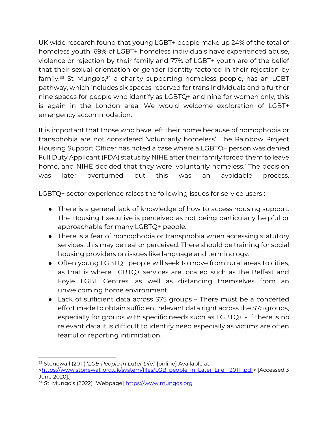UK wide research found that young LGBT+ people make up 24% of the total of homeless youth; 69% of LGBT+ homeless individuals have experienced abuse, violence or rejection by their family and 77% of LGBT+ youth are of the belief that their sexual orientation or gender identity factored in their rejection by family.<sup>33</sup> St Mungo's,<sup>34</sup> a charity supporting homeless people, has an LGBT pathway, which includes six spaces reserved for trans individuals and a further nine spaces for people who identify as LGBTQ+ and nine for women only, this is again in the London area. We would welcome exploration of LGBT+ emergency accommodation.

It is important that those who have left their home because of homophobia or transphobia are not considered 'voluntarily homeless'. The Rainbow Project Housing Support Officer has noted a case where a LGBTQ+ person was denied Full Duty Applicant (FDA) status by NIHE after their family forced them to leave home, and NIHE decided that they were 'voluntarily homeless.' The decision was later overturned but this was an avoidable process.

LGBTQ+ sector experience raises the following issues for service users :-

- There is a general lack of knowledge of how to access housing support. The Housing Executive is perceived as not being particularly helpful or approachable for many LGBTQ+ people.
- There is a fear of homophobia or transphobia when accessing statutory services, this may be real or perceived. There should be training for social housing providers on issues like language and terminology.
- Often young LGBTQ+ people will seek to move from rural areas to cities, as that is where LGBTQ+ services are located such as the Belfast and Foyle LGBT Centres, as well as distancing themselves from an unwelcoming home environment.
- Lack of sufficient data across S75 groups There must be a concerted effort made to obtain sufficient relevant data right across the S75 groups, especially for groups with specific needs such as LGBTQ+ - If there is no relevant data it is difficult to identify need especially as victims are often fearful of reporting intimidation.

<sup>33</sup> Stonewall (2011) '*LGB People In Later Life*.' [online] Available at:

[<sup>&</sup>lt;https://www.stonewall.org.uk/system/files/LGB\\_people\\_in\\_Later\\_Life\\_\\_2011\\_.pdf>](https://www.stonewall.org.uk/system/files/LGB_people_in_Later_Life__2011_.pdf) [Accessed 3 June 2020].)

<sup>&</sup>lt;sup>34</sup> St. Mungo's (2022) [Webpage] [https://www.mungos.org](https://www.mungos.org/)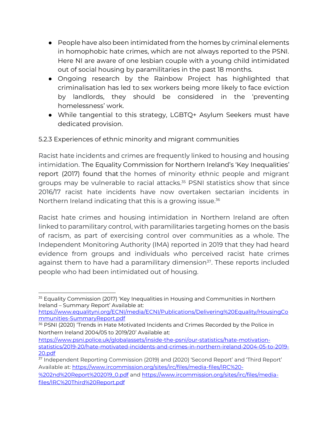- People have also been intimidated from the homes by criminal elements in homophobic hate crimes, which are not always reported to the PSNI. Here NI are aware of one lesbian couple with a young child intimidated out of social housing by paramilitaries in the past 18 months.
- Ongoing research by the Rainbow Project has highlighted that criminalisation has led to sex workers being more likely to face eviction by landlords, they should be considered in the 'preventing homelessness' work.
- While tangential to this strategy, LGBTQ+ Asylum Seekers must have dedicated provision.

5.2.3 Experiences of ethnic minority and migrant communities

Racist hate incidents and crimes are frequently linked to housing and housing intimidation. The Equality Commission for Northern Ireland's 'Key Inequalities' report (2017) found that the homes of minority ethnic people and migrant groups may be vulnerable to racial attacks.<sup>35</sup> PSNI statistics show that since 2016/17 racist hate incidents have now overtaken sectarian incidents in Northern Ireland indicating that this is a growing issue.<sup>36</sup>

Racist hate crimes and housing intimidation in Northern Ireland are often linked to paramilitary control, with paramilitaries targeting homes on the basis of racism, as part of exercising control over communities as a whole. The Independent Monitoring Authority (IMA) reported in 2019 that they had heard evidence from groups and individuals who perceived racist hate crimes against them to have had a paramilitary dimension<sup>37</sup>. These reports included people who had been intimidated out of housing.

[https://www.equalityni.org/ECNI/media/ECNI/Publications/Delivering%20Equality/HousingCo](https://www.equalityni.org/ECNI/media/ECNI/Publications/Delivering%20Equality/HousingCommunities-SummaryReport.pdf) [mmunities-SummaryReport.pdf](https://www.equalityni.org/ECNI/media/ECNI/Publications/Delivering%20Equality/HousingCommunities-SummaryReport.pdf)

[files/IRC%20Third%20Report.pdf](https://www.ircommission.org/sites/irc/files/media-files/IRC%20Third%20Report.pdf)

<sup>35</sup> Equality Commission (2017) 'Key Inequalities in Housing and Communities in Northern Ireland – Summary Report' Available at:

<sup>&</sup>lt;sup>36</sup> PSNI (2020) 'Trends in Hate Motivated Incidents and Crimes Recorded by the Police in Northern Ireland 2004/05 to 2019/20' Available at:

[https://www.psni.police.uk/globalassets/inside-the-psni/our-statistics/hate-motivation](https://www.psni.police.uk/globalassets/inside-the-psni/our-statistics/hate-motivation-statistics/2019-20/hate-motivated-incidents-and-crimes-in-northern-ireland-2004-05-to-2019-20.pdf)[statistics/2019-20/hate-motivated-incidents-and-crimes-in-northern-ireland-2004-05-to-2019-](https://www.psni.police.uk/globalassets/inside-the-psni/our-statistics/hate-motivation-statistics/2019-20/hate-motivated-incidents-and-crimes-in-northern-ireland-2004-05-to-2019-20.pdf) [20.pdf](https://www.psni.police.uk/globalassets/inside-the-psni/our-statistics/hate-motivation-statistics/2019-20/hate-motivated-incidents-and-crimes-in-northern-ireland-2004-05-to-2019-20.pdf)

<sup>37</sup> Independent Reporting Commission (2019) and (2020) 'Second Report' and 'Third Report' Available at[: https://www.ircommission.org/sites/irc/files/media-files/IRC%20-](https://www.ircommission.org/sites/irc/files/media-files/IRC%20-%202nd%20Report%202019_0.pdf) [%202nd%20Report%202019\\_0.pdf](https://www.ircommission.org/sites/irc/files/media-files/IRC%20-%202nd%20Report%202019_0.pdf) and [https://www.ircommission.org/sites/irc/files/media-](https://www.ircommission.org/sites/irc/files/media-files/IRC%20Third%20Report.pdf)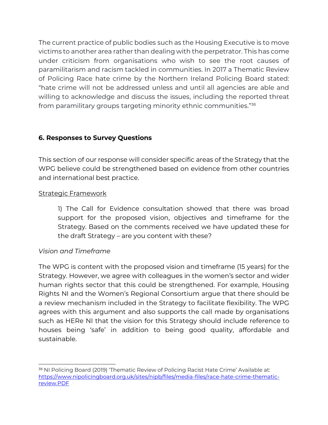The current practice of public bodies such as the Housing Executive is to move victims to another area rather than dealing with the perpetrator. This has come under criticism from organisations who wish to see the root causes of paramilitarism and racism tackled in communities. In 2017 a Thematic Review of Policing Race hate crime by the Northern Ireland Policing Board stated: "hate crime will not be addressed unless and until all agencies are able and willing to acknowledge and discuss the issues, including the reported threat from paramilitary groups targeting minority ethnic communities."<sup>38</sup>

## **6. Responses to Survey Questions**

This section of our response will consider specific areas of the Strategy that the WPG believe could be strengthened based on evidence from other countries and international best practice.

#### Strategic Framework

1) The Call for Evidence consultation showed that there was broad support for the proposed vision, objectives and timeframe for the Strategy. Based on the comments received we have updated these for the draft Strategy – are you content with these?

#### *Vision and Timeframe*

The WPG is content with the proposed vision and timeframe (15 years) for the Strategy. However, we agree with colleagues in the women's sector and wider human rights sector that this could be strengthened. For example, Housing Rights NI and the Women's Regional Consortium argue that there should be a review mechanism included in the Strategy to facilitate flexibility. The WPG agrees with this argument and also supports the call made by organisations such as HERe NI that the vision for this Strategy should include reference to houses being 'safe' in addition to being good quality, affordable and sustainable.

<sup>&</sup>lt;sup>38</sup> NI Policing Board (2019) 'Thematic Review of Policing Racist Hate Crime' Available at: [https://www.nipolicingboard.org.uk/sites/nipb/files/media-files/race-hate-crime-thematic](https://www.nipolicingboard.org.uk/sites/nipb/files/media-files/race-hate-crime-thematic-review.PDF)[review.PDF](https://www.nipolicingboard.org.uk/sites/nipb/files/media-files/race-hate-crime-thematic-review.PDF)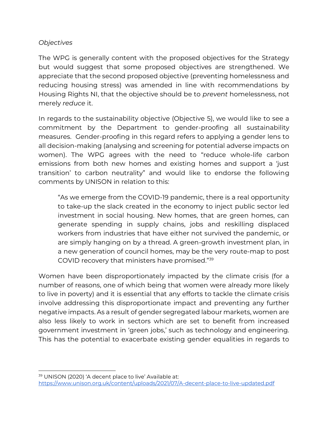#### *Objectives*

The WPG is generally content with the proposed objectives for the Strategy but would suggest that some proposed objectives are strengthened. We appreciate that the second proposed objective (preventing homelessness and reducing housing stress) was amended in line with recommendations by Housing Rights NI, that the objective should be to *prevent* homelessness, not merely *reduce* it.

In regards to the sustainability objective (Objective 5), we would like to see a commitment by the Department to gender-proofing all sustainability measures. Gender-proofing in this regard refers to applying a gender lens to all decision-making (analysing and screening for potential adverse impacts on women). The WPG agrees with the need to "reduce whole-life carbon emissions from both new homes and existing homes and support a 'just transition' to carbon neutrality" and would like to endorse the following comments by UNISON in relation to this:

"As we emerge from the COVID-19 pandemic, there is a real opportunity to take-up the slack created in the economy to inject public sector led investment in social housing. New homes, that are green homes, can generate spending in supply chains, jobs and reskilling displaced workers from industries that have either not survived the pandemic, or are simply hanging on by a thread. A green-growth investment plan, in a new generation of council homes, may be the very route-map to post COVID recovery that ministers have promised."<sup>39</sup>

Women have been disproportionately impacted by the climate crisis (for a number of reasons, one of which being that women were already more likely to live in poverty) and it is essential that any efforts to tackle the climate crisis involve addressing this disproportionate impact and preventing any further negative impacts. As a result of gender segregated labour markets, women are also less likely to work in sectors which are set to benefit from increased government investment in 'green jobs,' such as technology and engineering. This has the potential to exacerbate existing gender equalities in regards to

<sup>39</sup> UNISON (2020) 'A decent place to live' Available at: <https://www.unison.org.uk/content/uploads/2021/07/A-decent-place-to-live-updated.pdf>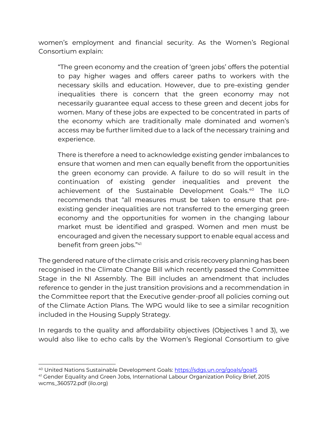women's employment and financial security. As the Women's Regional Consortium explain:

"The green economy and the creation of 'green jobs' offers the potential to pay higher wages and offers career paths to workers with the necessary skills and education. However, due to pre-existing gender inequalities there is concern that the green economy may not necessarily guarantee equal access to these green and decent jobs for women. Many of these jobs are expected to be concentrated in parts of the economy which are traditionally male dominated and women's access may be further limited due to a lack of the necessary training and experience.

There is therefore a need to acknowledge existing gender imbalances to ensure that women and men can equally benefit from the opportunities the green economy can provide. A failure to do so will result in the continuation of existing gender inequalities and prevent the achievement of the Sustainable Development Goals.<sup>40</sup> The ILO recommends that "all measures must be taken to ensure that preexisting gender inequalities are not transferred to the emerging green economy and the opportunities for women in the changing labour market must be identified and grasped. Women and men must be encouraged and given the necessary support to enable equal access and benefit from green jobs."<sup>41</sup>

The gendered nature of the climate crisis and crisis recovery planning has been recognised in the Climate Change Bill which recently passed the Committee Stage in the NI Assembly. The Bill includes an amendment that includes reference to gender in the just transition provisions and a recommendation in the Committee report that the Executive gender-proof all policies coming out of the Climate Action Plans. The WPG would like to see a similar recognition included in the Housing Supply Strategy.

In regards to the quality and affordability objectives (Objectives 1 and 3), we would also like to echo calls by the Women's Regional Consortium to give

<sup>40</sup> United Nations Sustainable Development Goals: <https://sdgs.un.org/goals/goal5>

<sup>41</sup> Gender Equality and Green Jobs, International Labour Organization Policy Brief, 2015 wcms\_360572.pdf (ilo.org)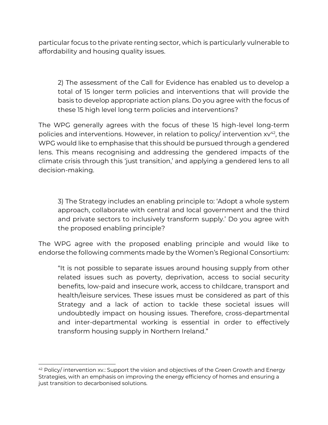particular focus to the private renting sector, which is particularly vulnerable to affordability and housing quality issues.

2) The assessment of the Call for Evidence has enabled us to develop a total of 15 longer term policies and interventions that will provide the basis to develop appropriate action plans. Do you agree with the focus of these 15 high level long term policies and interventions?

The WPG generally agrees with the focus of these 15 high-level long-term policies and interventions. However, in relation to policy/ intervention  $xy^{42}$ , the WPG would like to emphasise that this should be pursued through a gendered lens. This means recognising and addressing the gendered impacts of the climate crisis through this 'just transition,' and applying a gendered lens to all decision-making.

3) The Strategy includes an enabling principle to: 'Adopt a whole system approach, collaborate with central and local government and the third and private sectors to inclusively transform supply.' Do you agree with the proposed enabling principle?

The WPG agree with the proposed enabling principle and would like to endorse the following comments made by the Women's Regional Consortium:

"It is not possible to separate issues around housing supply from other related issues such as poverty, deprivation, access to social security benefits, low-paid and insecure work, access to childcare, transport and health/leisure services. These issues must be considered as part of this Strategy and a lack of action to tackle these societal issues will undoubtedly impact on housing issues. Therefore, cross-departmental and inter-departmental working is essential in order to effectively transform housing supply in Northern Ireland."

 $42$  Policy/ intervention xv.: Support the vision and objectives of the Green Growth and Energy Strategies, with an emphasis on improving the energy efficiency of homes and ensuring a just transition to decarbonised solutions.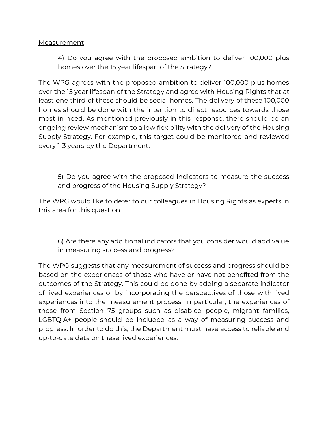#### Measurement

4) Do you agree with the proposed ambition to deliver 100,000 plus homes over the 15 year lifespan of the Strategy?

The WPG agrees with the proposed ambition to deliver 100,000 plus homes over the 15 year lifespan of the Strategy and agree with Housing Rights that at least one third of these should be social homes. The delivery of these 100,000 homes should be done with the intention to direct resources towards those most in need. As mentioned previously in this response, there should be an ongoing review mechanism to allow flexibility with the delivery of the Housing Supply Strategy. For example, this target could be monitored and reviewed every 1-3 years by the Department.

5) Do you agree with the proposed indicators to measure the success and progress of the Housing Supply Strategy?

The WPG would like to defer to our colleagues in Housing Rights as experts in this area for this question.

6) Are there any additional indicators that you consider would add value in measuring success and progress?

The WPG suggests that any measurement of success and progress should be based on the experiences of those who have or have not benefited from the outcomes of the Strategy. This could be done by adding a separate indicator of lived experiences or by incorporating the perspectives of those with lived experiences into the measurement process. In particular, the experiences of those from Section 75 groups such as disabled people, migrant families, LGBTQIA+ people should be included as a way of measuring success and progress. In order to do this, the Department must have access to reliable and up-to-date data on these lived experiences.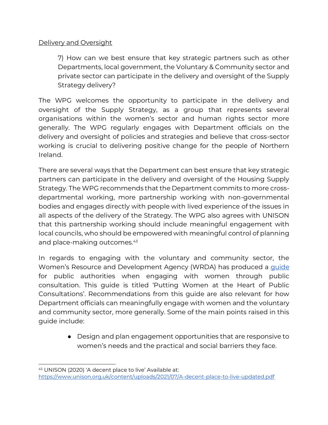#### Delivery and Oversight

7) How can we best ensure that key strategic partners such as other Departments, local government, the Voluntary & Community sector and private sector can participate in the delivery and oversight of the Supply Strategy delivery?

The WPG welcomes the opportunity to participate in the delivery and oversight of the Supply Strategy, as a group that represents several organisations within the women's sector and human rights sector more generally. The WPG regularly engages with Department officials on the delivery and oversight of policies and strategies and believe that cross-sector working is crucial to delivering positive change for the people of Northern Ireland.

There are several ways that the Department can best ensure that key strategic partners can participate in the delivery and oversight of the Housing Supply Strategy. The WPG recommends that the Department commits to more crossdepartmental working, more partnership working with non-governmental bodies and engages directly with people with lived experience of the issues in all aspects of the delivery of the Strategy. The WPG also agrees with UNISON that this partnership working should include meaningful engagement with local councils, who should be empowered with meaningful control of planning and place-making outcomes.<sup>43</sup>

In regards to engaging with the voluntary and community sector, the Women's Resource and Development Agency (WRDA) has produced [a](https://wrda.net/wp-content/uploads/2018/10/WRDA_WomenAtTheHeartOfPublicConsultation.pdf) [guide](https://wrda.net/wp-content/uploads/2018/10/WRDA_WomenAtTheHeartOfPublicConsultation.pdf) for public authorities when engaging with women through public consultation. This guide is titled 'Putting Women at the Heart of Public Consultations'. Recommendations from this guide are also relevant for how Department officials can meaningfully engage with women and the voluntary and community sector, more generally. Some of the main points raised in this guide include:

> ● Design and plan engagement opportunities that are responsive to women's needs and the practical and social barriers they face.

<sup>43</sup> UNISON (2020) 'A decent place to live' Available at: <https://www.unison.org.uk/content/uploads/2021/07/A-decent-place-to-live-updated.pdf>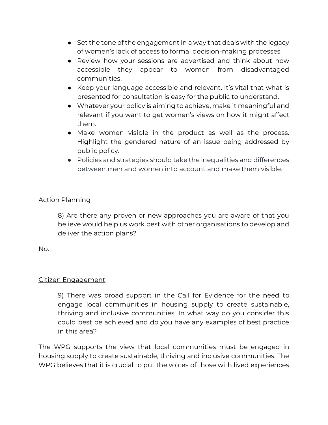- Set the tone of the engagement in a way that deals with the legacy of women's lack of access to formal decision-making processes.
- Review how your sessions are advertised and think about how accessible they appear to women from disadvantaged communities.
- Keep your language accessible and relevant. It's vital that what is presented for consultation is easy for the public to understand.
- Whatever your policy is aiming to achieve, make it meaningful and relevant if you want to get women's views on how it might affect them.
- Make women visible in the product as well as the process. Highlight the gendered nature of an issue being addressed by public policy.
- Policies and strategies should take the inequalities and differences between men and women into account and make them visible.

## Action Planning

8) Are there any proven or new approaches you are aware of that you believe would help us work best with other organisations to develop and deliver the action plans?

No.

#### Citizen Engagement

9) There was broad support in the Call for Evidence for the need to engage local communities in housing supply to create sustainable, thriving and inclusive communities. In what way do you consider this could best be achieved and do you have any examples of best practice in this area?

The WPG supports the view that local communities must be engaged in housing supply to create sustainable, thriving and inclusive communities. The WPG believes that it is crucial to put the voices of those with lived experiences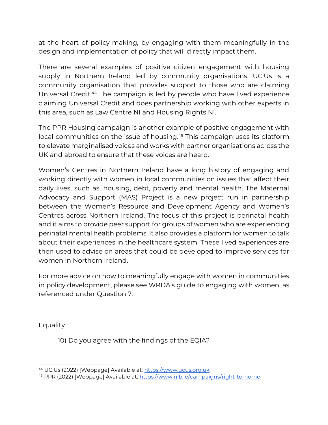at the heart of policy-making, by engaging with them meaningfully in the design and implementation of policy that will directly impact them.

There are several examples of positive citizen engagement with housing supply in Northern Ireland led by community organisations. UC:Us is a community organisation that provides support to those who are claiming Universal Credit. <sup>44</sup> The campaign is led by people who have lived experience claiming Universal Credit and does partnership working with other experts in this area, such as Law Centre NI and Housing Rights NI.

The PPR Housing campaign is another example of positive engagement with local communities on the issue of housing. <sup>45</sup> This campaign uses its platform to elevate marginalised voices and works with partner organisations across the UK and abroad to ensure that these voices are heard.

Women's Centres in Northern Ireland have a long history of engaging and working directly with women in local communities on issues that affect their daily lives, such as, housing, debt, poverty and mental health. The Maternal Advocacy and Support (MAS) Project is a new project run in partnership between the Women's Resource and Development Agency and Women's Centres across Northern Ireland. The focus of this project is perinatal health and it aims to provide peer support for groups of women who are experiencing perinatal mental health problems. It also provides a platform for women to talk about their experiences in the healthcare system. These lived experiences are then used to advise on areas that could be developed to improve services for women in Northern Ireland.

For more advice on how to meaningfully engage with women in communities in policy development, please see WRDA's guide to engaging with women, as referenced under Question 7.

#### **Equality**

10) Do you agree with the findings of the EQIA?

<sup>44</sup> UC:Us (2022) [Webpage] Available at: [https://www.ucus.org.uk](https://www.ucus.org.uk/)

<sup>45</sup> PPR (2022) [Webpage] Available at:<https://www.nlb.ie/campaigns/right-to-home>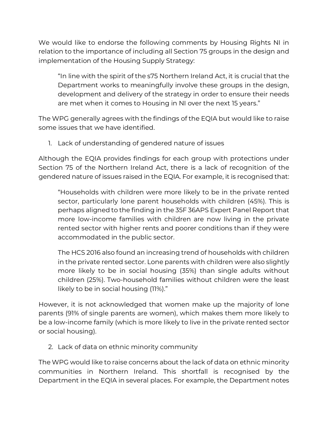We would like to endorse the following comments by Housing Rights NI in relation to the importance of including all Section 75 groups in the design and implementation of the Housing Supply Strategy:

"In line with the spirit of the s75 Northern Ireland Act, it is crucial that the Department works to meaningfully involve these groups in the design, development and delivery of the strategy in order to ensure their needs are met when it comes to Housing in NI over the next 15 years."

The WPG generally agrees with the findings of the EQIA but would like to raise some issues that we have identified.

1. Lack of understanding of gendered nature of issues

Although the EQIA provides findings for each group with protections under Section 75 of the Northern Ireland Act, there is a lack of recognition of the gendered nature of issues raised in the EQIA. For example, it is recognised that:

"Households with children were more likely to be in the private rented sector, particularly lone parent households with children (45%). This is perhaps aligned to the finding in the 35F 36APS Expert Panel Report that more low-income families with children are now living in the private rented sector with higher rents and poorer conditions than if they were accommodated in the public sector.

The HCS 2016 also found an increasing trend of households with children in the private rented sector. Lone parents with children were also slightly more likely to be in social housing (35%) than single adults without children (25%). Two-household families without children were the least likely to be in social housing (11%)."

However, it is not acknowledged that women make up the majority of lone parents (91% of single parents are women), which makes them more likely to be a low-income family (which is more likely to live in the private rented sector or social housing).

2. Lack of data on ethnic minority community

The WPG would like to raise concerns about the lack of data on ethnic minority communities in Northern Ireland. This shortfall is recognised by the Department in the EQIA in several places. For example, the Department notes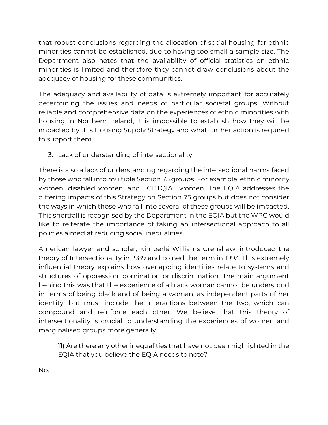that robust conclusions regarding the allocation of social housing for ethnic minorities cannot be established, due to having too small a sample size. The Department also notes that the availability of official statistics on ethnic minorities is limited and therefore they cannot draw conclusions about the adequacy of housing for these communities.

The adequacy and availability of data is extremely important for accurately determining the issues and needs of particular societal groups. Without reliable and comprehensive data on the experiences of ethnic minorities with housing in Northern Ireland, it is impossible to establish how they will be impacted by this Housing Supply Strategy and what further action is required to support them.

3. Lack of understanding of intersectionality

There is also a lack of understanding regarding the intersectional harms faced by those who fall into multiple Section 75 groups. For example, ethnic minority women, disabled women, and LGBTQIA+ women. The EQIA addresses the differing impacts of this Strategy on Section 75 groups but does not consider the ways in which those who fall into several of these groups will be impacted. This shortfall is recognised by the Department in the EQIA but the WPG would like to reiterate the importance of taking an intersectional approach to all policies aimed at reducing social inequalities.

American lawyer and scholar, Kimberlé Williams Crenshaw, introduced the theory of Intersectionality in 1989 and coined the term in 1993. This extremely influential theory explains how overlapping identities relate to systems and structures of oppression, domination or discrimination. The main argument behind this was that the experience of a black woman cannot be understood in terms of being black and of being a woman, as independent parts of her identity, but must include the interactions between the two, which can compound and reinforce each other. We believe that this theory of intersectionality is crucial to understanding the experiences of women and marginalised groups more generally.

11) Are there any other inequalities that have not been highlighted in the EQIA that you believe the EQIA needs to note?

No.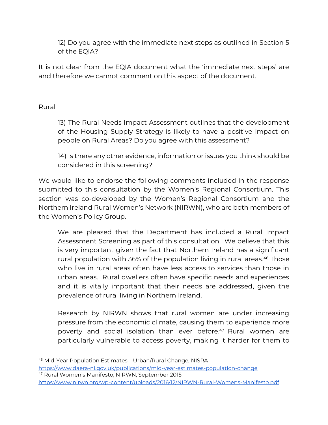12) Do you agree with the immediate next steps as outlined in Section 5 of the EQIA?

It is not clear from the EQIA document what the 'immediate next steps' are and therefore we cannot comment on this aspect of the document.

#### Rural

13) The Rural Needs Impact Assessment outlines that the development of the Housing Supply Strategy is likely to have a positive impact on people on Rural Areas? Do you agree with this assessment?

14) Is there any other evidence, information or issues you think should be considered in this screening?

We would like to endorse the following comments included in the response submitted to this consultation by the Women's Regional Consortium. This section was co-developed by the Women's Regional Consortium and the Northern Ireland Rural Women's Network (NIRWN), who are both members of the Women's Policy Group.

We are pleased that the Department has included a Rural Impact Assessment Screening as part of this consultation. We believe that this is very important given the fact that Northern Ireland has a significant rural population with 36% of the population living in rural areas. <sup>46</sup> Those who live in rural areas often have less access to services than those in urban areas. Rural dwellers often have specific needs and experiences and it is vitally important that their needs are addressed, given the prevalence of rural living in Northern Ireland.

Research by NIRWN shows that rural women are under increasing pressure from the economic climate, causing them to experience more poverty and social isolation than ever before. <sup>47</sup> Rural women are particularly vulnerable to access poverty, making it harder for them to

<https://www.nirwn.org/wp-content/uploads/2016/12/NIRWN-Rural-Womens-Manifesto.pdf>

<sup>46</sup> Mid-Year Population Estimates – Urban/Rural Change, NISRA <https://www.daera-ni.gov.uk/publications/mid-year-estimates-population-change> <sup>47</sup> Rural Women's Manifesto, NIRWN, September 2015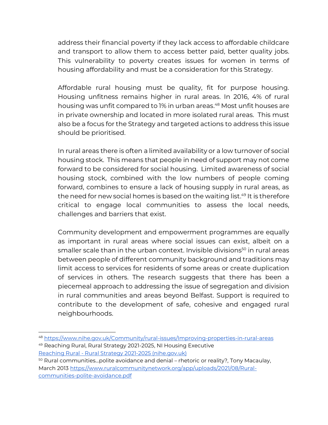address their financial poverty if they lack access to affordable childcare and transport to allow them to access better paid, better quality jobs. This vulnerability to poverty creates issues for women in terms of housing affordability and must be a consideration for this Strategy.

Affordable rural housing must be quality, fit for purpose housing. Housing unfitness remains higher in rural areas. In 2016, 4% of rural housing was unfit compared to 1% in urban areas. <sup>48</sup> Most unfit houses are in private ownership and located in more isolated rural areas. This must also be a focus for the Strategy and targeted actions to address this issue should be prioritised.

In rural areas there is often a limited availability or a low turnover of social housing stock. This means that people in need of support may not come forward to be considered for social housing. Limited awareness of social housing stock, combined with the low numbers of people coming forward, combines to ensure a lack of housing supply in rural areas, as the need for new social homes is based on the waiting list. <sup>49</sup> It is therefore critical to engage local communities to assess the local needs, challenges and barriers that exist.

Community development and empowerment programmes are equally as important in rural areas where social issues can exist, albeit on a smaller scale than in the urban context. Invisible divisions<sup>50</sup> in rural areas between people of different community background and traditions may limit access to services for residents of some areas or create duplication of services in others. The research suggests that there has been a piecemeal approach to addressing the issue of segregation and division in rural communities and areas beyond Belfast. Support is required to contribute to the development of safe, cohesive and engaged rural neighbourhoods.

<sup>48</sup> <https://www.nihe.gov.uk/Community/rural-issues/Improving-properties-in-rural-areas>

<sup>49</sup> Reaching Rural, Rural Strategy 2021-2025, NI Housing Executive Reaching Rural - [Rural Strategy 2021-2025 \(nihe.gov.uk\)](https://nihe.gov.uk/Documents/Community/Rural-Strategy-2021-2025.aspx?ext=.)

<sup>&</sup>lt;sup>50</sup> Rural communities...polite avoidance and denial – rhetoric or reality?, Tony Macaulay, March 2013 https://www.ruralcommunitynetwork.org/app/uploads/2021/08/Ruralcommunities-polite-avoidance.pdf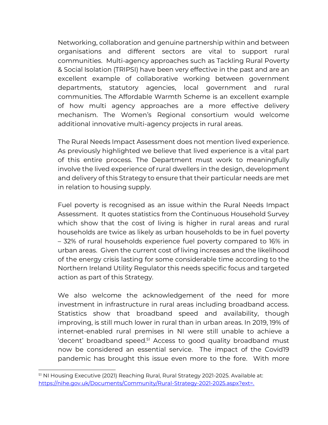Networking, collaboration and genuine partnership within and between organisations and different sectors are vital to support rural communities. Multi-agency approaches such as Tackling Rural Poverty & Social Isolation (TRIPSI) have been very effective in the past and are an excellent example of collaborative working between government departments, statutory agencies, local government and rural communities. The Affordable Warmth Scheme is an excellent example of how multi agency approaches are a more effective delivery mechanism. The Women's Regional consortium would welcome additional innovative multi-agency projects in rural areas.

The Rural Needs Impact Assessment does not mention lived experience. As previously highlighted we believe that lived experience is a vital part of this entire process. The Department must work to meaningfully involve the lived experience of rural dwellers in the design, development and delivery of this Strategy to ensure that their particular needs are met in relation to housing supply.

Fuel poverty is recognised as an issue within the Rural Needs Impact Assessment. It quotes statistics from the Continuous Household Survey which show that the cost of living is higher in rural areas and rural households are twice as likely as urban households to be in fuel poverty – 32% of rural households experience fuel poverty compared to 16% in urban areas. Given the current cost of living increases and the likelihood of the energy crisis lasting for some considerable time according to the Northern Ireland Utility Regulator this needs specific focus and targeted action as part of this Strategy.

We also welcome the acknowledgement of the need for more investment in infrastructure in rural areas including broadband access. Statistics show that broadband speed and availability, though improving, is still much lower in rural than in urban areas. In 2019, 19% of internet-enabled rural premises in NI were still unable to achieve a 'decent' broadband speed.<sup>51</sup> Access to good quality broadband must now be considered an essential service. The impact of the Covid19 pandemic has brought this issue even more to the fore. With more

<sup>&</sup>lt;sup>51</sup> NI Housing Executive (2021) Reaching Rural, Rural Strategy 2021-2025. Available at: <https://nihe.gov.uk/Documents/Community/Rural-Strategy-2021-2025.aspx?ext=.>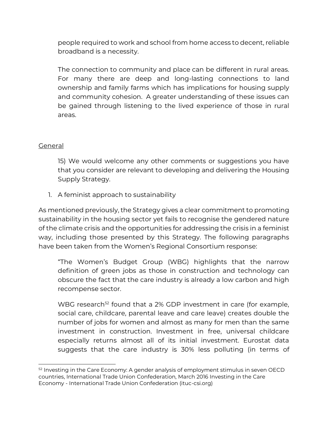people required to work and school from home access to decent, reliable broadband is a necessity.

The connection to community and place can be different in rural areas. For many there are deep and long-lasting connections to land ownership and family farms which has implications for housing supply and community cohesion. A greater understanding of these issues can be gained through listening to the lived experience of those in rural areas.

#### General

15) We would welcome any other comments or suggestions you have that you consider are relevant to developing and delivering the Housing Supply Strategy.

1. A feminist approach to sustainability

As mentioned previously, the Strategy gives a clear commitment to promoting sustainability in the housing sector yet fails to recognise the gendered nature of the climate crisis and the opportunities for addressing the crisis in a feminist way, including those presented by this Strategy. The following paragraphs have been taken from the Women's Regional Consortium response:

"The Women's Budget Group (WBG) highlights that the narrow definition of green jobs as those in construction and technology can obscure the fact that the care industry is already a low carbon and high recompense sector.

WBG research<sup>52</sup> found that a 2% GDP investment in care (for example, social care, childcare, parental leave and care leave) creates double the number of jobs for women and almost as many for men than the same investment in construction. Investment in free, universal childcare especially returns almost all of its initial investment. Eurostat data suggests that the care industry is 30% less polluting (in terms of

<sup>&</sup>lt;sup>52</sup> Investing in the Care Economy: A gender analysis of employment stimulus in seven OECD countries, International Trade Union Confederation, March 2016 Investing in the Care Economy - International Trade Union Confederation (ituc-csi.org)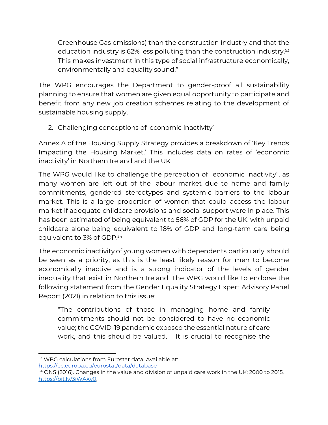Greenhouse Gas emissions) than the construction industry and that the education industry is 62% less polluting than the construction industry.<sup>53</sup> This makes investment in this type of social infrastructure economically, environmentally and equality sound."

The WPG encourages the Department to gender-proof all sustainability planning to ensure that women are given equal opportunity to participate and benefit from any new job creation schemes relating to the development of sustainable housing supply.

2. Challenging conceptions of 'economic inactivity'

Annex A of the Housing Supply Strategy provides a breakdown of 'Key Trends Impacting the Housing Market.' This includes data on rates of 'economic inactivity' in Northern Ireland and the UK.

The WPG would like to challenge the perception of "economic inactivity", as many women are left out of the labour market due to home and family commitments, gendered stereotypes and systemic barriers to the labour market. This is a large proportion of women that could access the labour market if adequate childcare provisions and social support were in place. This has been estimated of being equivalent to 56% of GDP for the UK, with unpaid childcare alone being equivalent to 18% of GDP and long-term care being equivalent to 3% of GDP.<sup>54</sup>

The economic inactivity of young women with dependents particularly, should be seen as a priority, as this is the least likely reason for men to become economically inactive and is a strong indicator of the levels of gender inequality that exist in Northern Ireland. The WPG would like to endorse the following statement from the Gender Equality Strategy Expert Advisory Panel Report (2021) in relation to this issue:

"The contributions of those in managing home and family commitments should not be considered to have no economic value; the COVID-19 pandemic exposed the essential nature of care work, and this should be valued. It is crucial to recognise the

<https://ec.europa.eu/eurostat/data/database>

<sup>53</sup> WBG calculations from Eurostat data. Available at:

 $\frac{54}{2}$  ONS (2016). Changes in the value and division of unpaid care work in the UK: 2000 to 2015. [https://bit.ly/3iWAXv0,](https://bit.ly/3iWAXv0)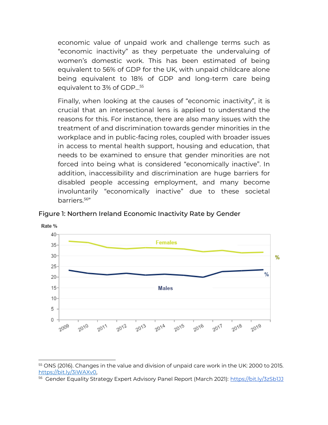economic value of unpaid work and challenge terms such as "economic inactivity" as they perpetuate the undervaluing of women's domestic work. This has been estimated of being equivalent to 56% of GDP for the UK, with unpaid childcare alone being equivalent to 18% of GDP and long-term care being equivalent to 3% of GDP…<sup>55</sup>

Finally, when looking at the causes of "economic inactivity", it is crucial that an intersectional lens is applied to understand the reasons for this. For instance, there are also many issues with the treatment of and discrimination towards gender minorities in the workplace and in public-facing roles, coupled with broader issues in access to mental health support, housing and education, that needs to be examined to ensure that gender minorities are not forced into being what is considered "economically inactive". In addition, inaccessibility and discrimination are huge barriers for disabled people accessing employment, and many become involuntarily "economically inactive" due to these societal barriers.<sup>56</sup> "



Figure 1: Northern Ireland Economic Inactivity Rate by Gender

<sup>&</sup>lt;sup>55</sup> ONS (2016). Changes in the value and division of unpaid care work in the UK: 2000 to 2015. [https://bit.ly/3iWAXv0,](https://bit.ly/3iWAXv0)

<sup>&</sup>lt;sup>56</sup> Gender Equality Strategy Expert Advisory Panel Report (March 2021): <u>https://bit.ly/3zSb1JJ</u>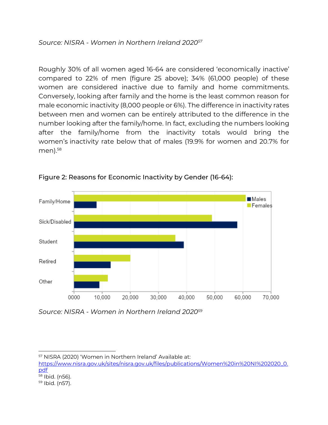Roughly 30% of all women aged 16-64 are considered 'economically inactive' compared to 22% of men (figure 25 above); 34% (61,000 people) of these women are considered inactive due to family and home commitments. Conversely, looking after family and the home is the least common reason for male economic inactivity (8,000 people or 6%). The difference in inactivity rates between men and women can be entirely attributed to the difference in the number looking after the family/home. In fact, excluding the numbers looking after the family/home from the inactivity totals would bring the women's inactivity rate below that of males (19.9% for women and 20.7% for  $men).<sup>58</sup>$ 



Figure 2: Reasons for Economic Inactivity by Gender (16-64):

*Source: NISRA - Women in Northern Ireland 2020<sup>59</sup>*

<sup>57</sup> NISRA (2020) 'Women in Northern Ireland' Available at:

[https://www.nisra.gov.uk/sites/nisra.gov.uk/files/publications/Women%20in%20NI%202020\\_0.](https://www.nisra.gov.uk/sites/nisra.gov.uk/files/publications/Women%20in%20NI%202020_0.pdf) [pdf](https://www.nisra.gov.uk/sites/nisra.gov.uk/files/publications/Women%20in%20NI%202020_0.pdf) <sup>58</sup> Ibid. (n56).

<sup>59</sup> Ibid. (n57).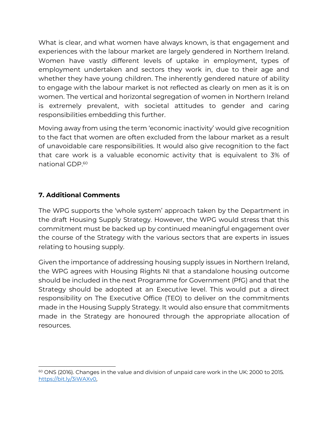What is clear, and what women have always known, is that engagement and experiences with the labour market are largely gendered in Northern Ireland. Women have vastly different levels of uptake in employment, types of employment undertaken and sectors they work in, due to their age and whether they have young children. The inherently gendered nature of ability to engage with the labour market is not reflected as clearly on men as it is on women. The vertical and horizontal segregation of women in Northern Ireland is extremely prevalent, with societal attitudes to gender and caring responsibilities embedding this further.

Moving away from using the term 'economic inactivity' would give recognition to the fact that women are often excluded from the labour market as a result of unavoidable care responsibilities. It would also give recognition to the fact that care work is a valuable economic activity that is equivalent to 3% of national GDP.<sup>60</sup>

# **7. Additional Comments**

The WPG supports the 'whole system' approach taken by the Department in the draft Housing Supply Strategy. However, the WPG would stress that this commitment must be backed up by continued meaningful engagement over the course of the Strategy with the various sectors that are experts in issues relating to housing supply.

Given the importance of addressing housing supply issues in Northern Ireland, the WPG agrees with Housing Rights NI that a standalone housing outcome should be included in the next Programme for Government (PfG) and that the Strategy should be adopted at an Executive level. This would put a direct responsibility on The Executive Office (TEO) to deliver on the commitments made in the Housing Supply Strategy. It would also ensure that commitments made in the Strategy are honoured through the appropriate allocation of resources.

 $60$  ONS (2016). Changes in the value and division of unpaid care work in the UK: 2000 to 2015. [https://bit.ly/3iWAXv0,](https://bit.ly/3iWAXv0)